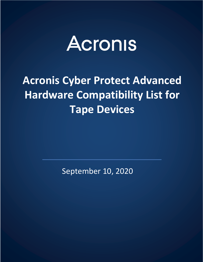

# **Acronis Cyber Protect Advanced Hardware Compatibility List for Tape Devices**

September 10, 2020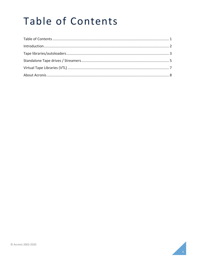# Table of Contents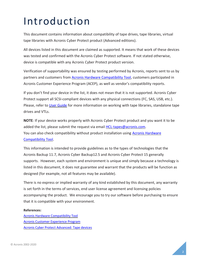# Introduction

This document contains information about compatibility of tape drives, tape libraries, virtual tape libraries with Acronis Cyber Protect product (Advanced editions).

All devices listed in this document are claimed as supported. It means that work of these devices was tested and confirmed with the Acronis Cyber Protect software. If not stated otherwise, device is compatible with any Acronis Cyber Protect product version.

Verification of supportability was ensured by testing performed by Acronis, reports sent to us by partners and customers from [Acronis Hardware Compatibility Tool,](https://kb.acronis.com/content/57237) customers participated in Acronis Customer Experience Program (ACEP), as well as vendor's compatibility reports.

If you don't find your device in the list, it does not mean that it is not supported. Acronis Cyber Protect support all SCSI-compliant devices with any physical connections (FC, SAS, USB, etc.). Please, refer t[o User Guide](https://www.acronis.com/support/documentation/AcronisCyberProtect_15) for more information on working with tape libraries, standalone tape drives and VTLs.

**NOTE**: If your device works properly with Acronis Cyber Protect product and you want it to be added the list, please submit the request via email [HCL-tapes@acronis.com.](mailto:HCL-tapes@acronis.com) You can also check compatibility without product installation using [Acronis Hardware](https://kb.acronis.com/content/57237)  [Compatibility Tool.](https://kb.acronis.com/content/57237)

This information is intended to provide guidelines as to the types of technologies that the Acronis Backup 11.7, Acronis Cyber Backup12.5 and Acronis Cyber Protect 15 generally supports. However, each system and environment is unique and simply because a technology is listed in this document, it does not guarantee and warrant that the products will be function as designed (for example, not all features may be available).

There is no express or implied warranty of any kind established by this document, any warranty is set forth in the terms of services, end user license agreement and licensing policies accompanying the product. We encourage you to try our software before purchasing to ensure that it is compatible with your environment.

#### **References:**

[Acronis Hardware Compatibility Tool](https://kb.acronis.com/content/57237) [Acronis Customer Experience Program](https://www.acronis.com/company/cep-policy.html) [Acronis Cyber Protect Advanced: Tape devices](https://www.acronis.com/support/documentation/AcronisCyberProtect_15/#38806.html)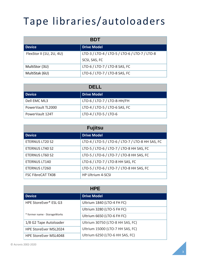# Tape libraries/autoloaders

| <b>BDT</b>               |                                               |
|--------------------------|-----------------------------------------------|
| <b>Device</b>            | <b>Drive Model</b>                            |
| FlexStor II (1U, 2U, 4U) | LTO-3 / LTO-4 / LTO-5 / LTO-6 / LTO-7 / LTO-8 |
|                          | SCSI, SAS, FC                                 |
| MultiStor (3U)           | LTO-6 / LTO-7 / LTO-8 SAS, FC                 |
| MultiStak (6U)           | LTO-6 / LTO-7 / LTO-8 SAS, FC                 |

| DEL L             |                               |
|-------------------|-------------------------------|
| l Device          | <b>Drive Model</b>            |
| Dell EMC ML3      | LTO-6 / LTO-7 / LTO-8-HH/FH   |
| PowerVault TL2000 | LTO-4 / LTO-5 / LTO-6 SAS, FC |
| PowerVault 124T   | LTO-4 / LTO-5 / LTO-6         |

| <b>Fujitsu</b>           |                                                  |
|--------------------------|--------------------------------------------------|
| <b>Device</b>            | <b>Drive Model</b>                               |
| <b>ETERNUS LT20 S2</b>   | LTO-4 / LTO-5 / LTO-6 / LTO-7 / LTO-8 HH SAS, FC |
| <b>ETERNUS LT40 S2</b>   | LTO-5 / LTO-6 / LTO-7 / LTO-8 HH SAS, FC         |
| <b>ETERNUS LT60 S2</b>   | LTO-5 / LTO-6 / LTO-7 / LTO-8 HH SAS, FC         |
| <b>ETERNUS LT140</b>     | LTO-6 / LTO-7 / LTO-8 HH SAS, FC                 |
| <b>ETERNUS LT260</b>     | LTO-5 / LTO-6 / LTO-7 / LTO-8 HH SAS, FC         |
| <b>FSC FibreCAT TX08</b> | HP Ultrium 4-SCSI                                |

| <b>HPE</b>                   |                                  |
|------------------------------|----------------------------------|
| <b>Device</b>                | <b>Drive Model</b>               |
| HPE StoreEver* ESL G3        | Ultrium 1840 (LTO-4 FH FC)       |
|                              | Ultrium 3280 (LTO-5 FH FC)       |
| * former name - StorageWorks | Ultrium 6650 (LTO-6 FH FC)       |
| 1/8 G2 Tape Autoloader       | Ultrium 30750 (LTO-8 HH SAS, FC) |
| <b>HPE StoreEver MSL2024</b> | Ultrium 15000 (LTO-7 HH SAS, FC) |
| <b>HPE StoreEver MSL4048</b> | Ultrium 6250 (LTO-6 HH SAS, FC)  |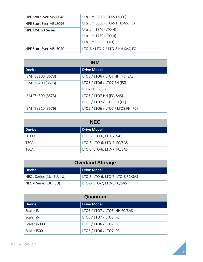| <b>HPE StoreEver MSL8048</b> | Ultrium 3280 (LTO-5 FH FC)       |
|------------------------------|----------------------------------|
| HPE StoreEver MSL8096        | Ultrium 3000 (LTO-5 HH SAS, FC)  |
| <b>HPE MSL G3 Series</b>     | Ultrium 1840 (LTO-4)             |
|                              | Ultrium 1760 (LTO-4)             |
|                              | Ultrium 960 (LTO-3)              |
| HPE StoreEver MSL3040        | LTO-6 / LTO-7 / LTO-8 HH SAS, FC |

| <b>IBM</b>        |                                   |
|-------------------|-----------------------------------|
| <b>Device</b>     | <b>Drive Model</b>                |
| IBM TS3100 (3573) | LTO5 / LTO6 / LTO7 HH (FC, SAS)   |
| IBM TS3200 (3573) | LTO5 / LTO6 / LTO7 FH (FC)        |
|                   | LTO4 FH (SCSI)                    |
| IBM TS4300 (3573) | LTO6 / LTO7 HH (FC, SAS)          |
|                   | LTO6 / LTO7 / LTO8 FH (FC)        |
| IBM TS3310 (3576) | LTO5 / LTO6 / LTO7 / LTO8 FH (FC) |

| <b>NEC</b>  |                            |
|-------------|----------------------------|
| Device      | <b>Drive Model</b>         |
| LLOO9F      | LTO-5, LTO-6, LTO-7 SAS    |
| T30A        | LTO-5, LTO-6, LTO-7 FC/SAS |
| <b>T60A</b> | LTO-5, LTO-6, LTO-7 FC/SAS |

| <b>Overland Storage</b>  |                                   |
|--------------------------|-----------------------------------|
| Device                   | Drive Model                       |
| NEOs Series (1U, 2U, 4U) | LTO-5, LTO-6, LTO-7, LTO-8 FC/SAS |
| NEOxl Series (3U, 6U)    | LTO-6, LTO-7, LTO-8 FC/SAS        |

| Quantum       |                              |
|---------------|------------------------------|
| <b>Device</b> | <b>Drive Model</b>           |
| Scalar i3     | LTO6 / LTO7 / LTO8 HH FC/SAS |
| Scalar i6     | LTO6 / LTO7 / LTO8 FC        |
| Scalar i6000  | LTO5 / LTO6 / LTO7 FC        |
| Scalar i500   | LTO5 / LTO6 / LTO7 FC        |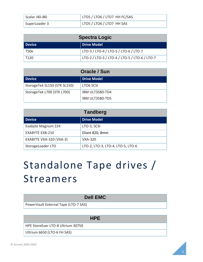| Scalar i40-i80 | LTO5 / LTO6 / LTO7 HH FC/SAS |
|----------------|------------------------------|
| SuperLoader 3  | LTO5 / LTO6 / LTO7 HH SAS    |

| <b>Spectra Logic</b> |                                               |
|----------------------|-----------------------------------------------|
| Device               | <b>Drive Model</b>                            |
| T50e                 | LTO-3 / LTO-4 / LTO-5 / LTO-6 / LTO-7         |
| T <sub>120</sub>     | LTO-2 / LTO-3 / LTO-4 / LTO-5 / LTO-6 / LTO-7 |

| Oracle / Sun                 |                        |  |
|------------------------------|------------------------|--|
| <b>Device</b>                | <b>Drive Model</b>     |  |
| StorageTek SL150 (STK SL150) | LTO6 SCSI              |  |
| StorageTek L700 (STK L700)   | <b>IBM ULT3580-TD4</b> |  |
|                              | IBM ULT3580-TD5        |  |

| <b>Tandberg</b>         |                                   |  |
|-------------------------|-----------------------------------|--|
| <b>Device</b>           | <b>Drive Model</b>                |  |
| Exabyte Magnum 224      | LTO-3, SCSI                       |  |
| EXABYTE EXB-210         | Eliant 820, 8mm                   |  |
| EXABYTE VXA-320 (VXA-3) | <b>VXA-320</b>                    |  |
| StorageLoader LTO       | LTO-2, LTO-3, LTO-4, LTO-5, LTO-6 |  |

# Standalone Tape drives / Streamers

| <b>Dell EMC</b>                      |  |
|--------------------------------------|--|
| PowerVault External Tape (LTO-7 SAS) |  |
|                                      |  |
| <b>HPE</b>                           |  |
| HPE StoreEver LTO-8 Ultrium 30750    |  |

Ultrium 6650 (LTO-6 FH SAS)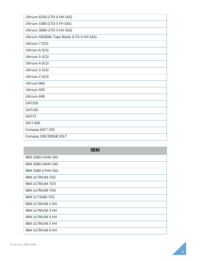| Ultrium 6250 (LTO-6 HH SAS)               |  |  |
|-------------------------------------------|--|--|
| Ultrium 3280 (LTO-5 FH SAS)               |  |  |
| Ultrium 3000 (LTO-5 HH SAS)               |  |  |
| Ultrium SB3000c Tape Blade (LTO-5 HH SAS) |  |  |
| <b>Ultrium 7 SCSI</b>                     |  |  |
| Ultrium 6-SCSI                            |  |  |
| Ultrium 5-SCSI                            |  |  |
| Ultrium 4-SCSI                            |  |  |
| Ultrium 3-SCSI                            |  |  |
| Ultrium 2-SCSI                            |  |  |
| Ultrium 960                               |  |  |
| Ultrium 920                               |  |  |
| Ultrium 448                               |  |  |
| <b>DAT320</b>                             |  |  |
| <b>DAT160</b>                             |  |  |
| DAT72                                     |  |  |
| <b>SDLT 600</b>                           |  |  |
| Compaq SDLT 320                           |  |  |
| Compaq 100/200GB SDLT                     |  |  |

| <b>IBM</b>              |  |
|-------------------------|--|
| IBM 3580 U5HH SAS       |  |
| IBM 3580 U6HH SAS       |  |
| IBM 3580 U7HH SAS       |  |
| <b>IBM ULTRIUM-TD2</b>  |  |
| <b>IBM ULTRIUM-TD3</b>  |  |
| <b>IBM ULTRIUM-TD4</b>  |  |
| <b>IBM ULT3580-TD5</b>  |  |
| <b>IBM ULTRIUM 2 HH</b> |  |
| <b>IBM ULTRIUM 3 HH</b> |  |
| <b>IBM ULTRIUM 4 HH</b> |  |
| <b>IBM ULTRIUM 5 HH</b> |  |
| <b>IBM ULTRIUM 6 HH</b> |  |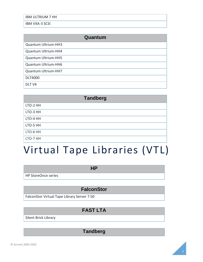IBM ULTRIUM 7 HH

IBM VXA-3 SCSI

| Quantum             |  |
|---------------------|--|
| Quantum Ultrium-HH3 |  |
| Quantum Ultrium-HH4 |  |
| Quantum Ultrium-HH5 |  |
| Quantum Ultrium-HH6 |  |
| Quantum Ultrium-HH7 |  |
| <b>DLT4000</b>      |  |
| DLT <sub>V4</sub>   |  |

| <b>Tandberg</b> |  |
|-----------------|--|
| LTO-2 HH        |  |
| LTO-3 HH        |  |
| LTO-4 HH        |  |
| LTO-5 HH        |  |
| LTO-6 HH        |  |
| LTO-7 HH        |  |

## Virtual Tape Libraries (VTL)

**HP**

HP StoreOnce series

### **FalconStor**

FalconStor Virtual Tape Library Server 7.50

### **FAST LTA**

Silent Brick Library

**Tandberg**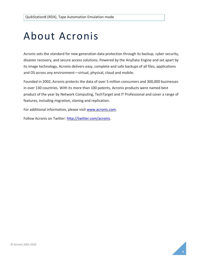## About Acronis

Acronis sets the standard for new generation data protection through its backup, cyber security, disaster recovery, and secure access solutions. Powered by the AnyData Engine and set apart by its image technology, Acronis delivers easy, complete and safe backups of all files, applications and OS across any environment—virtual, physical, cloud and mobile.

Founded in 2002, Acronis protects the data of over 5 million consumers and 300,000 businesses in over 130 countries. With its more than 100 patents, Acronis products were named best product of the year by Network Computing, TechTarget and IT Professional and cover a range of features, including migration, cloning and replication.

For additional information, please visit [www.acronis.com.](http://www.acronis.com/)

Follow Acronis on Twitter: [http://twitter.com/acronis.](http://twitter.com/acronis)